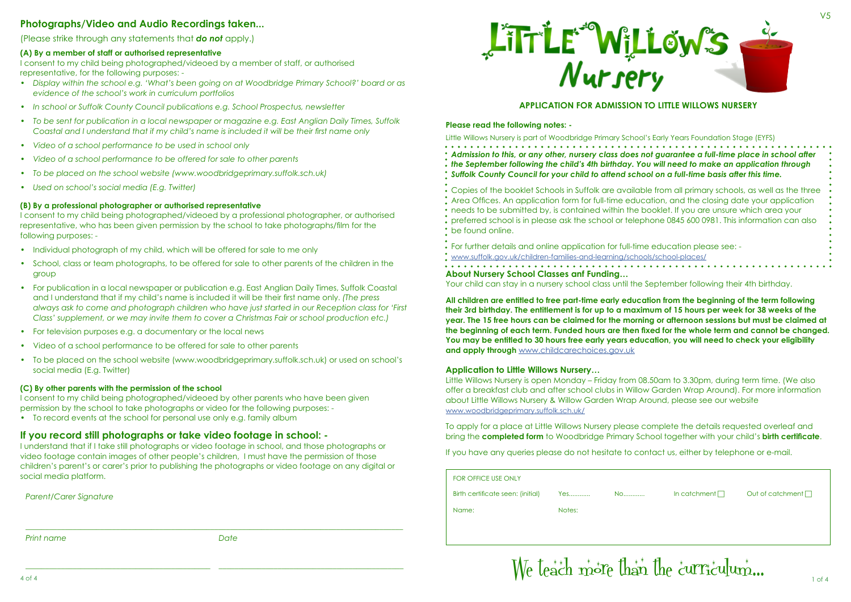## **APPLICATION FOR ADMISSION TO LITTLE WILLOWS NURSERY**

**Please read the following notes: -**

Little Willows Nursery is part of Woodbridge Primary School's Early Years Foundation Stage (EYFS)

- 
- 
- 

# *Admission to this, or any other, nursery class does not guarantee a full-time place in school after the September following the child's 4th birthday. You will need to make an application through Suffolk County Council for your child to attend school on a full-time basis after this time.*

In catchment  $\Box$  Out of catchment  $\Box$ 



 $\ddot{\cdot}$  For further details and online application for full-time education please see: [www.suffolk.gov.uk/children-families-and-learning/schools/school-places/](https://www.suffolk.gov.uk/children-families-and-learning/schools/school-places/)

Copies of the booklet Schools in Suffolk are available from all primary schools, as well as the three Area Offices. An application form for full-time education, and the closing date your application needs to be submitted by, is contained within the booklet. If you are unsure which area your preferred school is in please ask the school or telephone 0845 600 0981. This information can also

- 
- 
- be found online.

**About Nursery School Classes anf Funding…**

Your child can stay in a nursery school class until the September following their 4th birthday.

**All children are entitled to free part-time early education from the beginning of the term following their 3rd birthday. The entitlement is for up to a maximum of 15 hours per week for 38 weeks of the year. The 15 free hours can be claimed for the morning or afternoon sessions but must be claimed at the beginning of each term. Funded hours are then fixed for the whole term and cannot be changed. You may be entitled to 30 hours free early years education, you will need to check your eligibility [a](http://www.childcarechoices.gov.uk  )nd apply through** [www.childcarechoices.gov.uk](http://www.childcarechoices.gov.uk  )

## **Application to Little Willows Nursery…**

Little Willows Nursery is open Monday – Friday from 08.50am to 3.30pm, during term time. (We also offer a breakfast club and after school clubs in Willow Garden Wrap Around). For more information about Little Willows Nursery & Willow Garden Wrap Around, please see our website [www.woodbridgeprimary.suffolk.sch.uk/](http://www.woodbridgeprimary.suffolk.sch.uk/)

To apply for a place at Little Willows Nursery please complete the details requested overleaf and bring the **completed form** to Woodbridge Primary School together with your child's **birth certificate**.

- Individual photograph of my child, which will be offered for sale to me only
- School, class or team photographs, to be offered for sale to other parents of the children in the group
- For publication in a local newspaper or publication e.g. East Anglian Daily Times, Suffolk Coastal and I understand that if my child's name is included it will be their first name only. *(The press always ask to come and photograph children who have just started in our Reception class for 'First Class' supplement, or we may invite them to cover a Christmas Fair or school production etc.)*
- For television purposes e.g. a documentary or the local news
- Video of a school performance to be offered for sale to other parents
- To be placed on the school website (www.woodbridgeprimary.suffolk.sch.uk) or used on school's social media (E.g. Twitter)

If you have any queries please do not hesitate to contact us, either by telephone or e-mail.

| <b>FOR OFFICE USE ONLY</b>        |        |     |
|-----------------------------------|--------|-----|
| Birth certificate seen: (initial) | Yes    | No. |
| Name:                             | Notes: |     |
|                                   |        |     |

V5

# **Photographs/Video and Audio Recordings taken...**

(Please strike through any statements that *do not* apply.)

## **(A) By a member of staff or authorised representative**

I consent to my child being photographed/videoed by a member of staff, or authorised representative, for the following purposes: -

- *• Display within the school e.g. 'What's been going on at Woodbridge Primary School?' board or as evidence of the school's work in curriculum portfolios*
- *• In school or Suffolk County Council publications e.g. School Prospectus, newsletter*
- *• To be sent for publication in a local newspaper or magazine e.g. East Anglian Daily Times, Suffolk Coastal and I understand that if my child's name is included it will be their first name only*
- *• Video of a school performance to be used in school only*
- *• Video of a school performance to be offered for sale to other parents*
- *• To be placed on the school website (www.woodbridgeprimary.suffolk.sch.uk)*
- *• Used on school's social media (E.g. Twitter)*

## **(B) By a professional photographer or authorised representative**

I consent to my child being photographed/videoed by a professional photographer, or authorised representative, who has been given permission by the school to take photographs/film for the following purposes: -

## **(C) By other parents with the permission of the school**

I consent to my child being photographed/videoed by other parents who have been given permission by the school to take photographs or video for the following purposes: -

• To record events at the school for personal use only e.g. family album

## **If you record still photographs or take video footage in school: -**

I understand that if I take still photographs or video footage in school, and those photographs or video footage contain images of other people's children, I must have the permission of those children's parent's or carer's prior to publishing the photographs or video footage on any digital or social media platform.

*Parent/Carer Signature*

*\_\_\_\_\_\_\_\_\_\_\_\_\_\_\_\_\_\_\_\_\_\_\_\_\_\_\_\_\_\_\_\_\_\_\_\_\_\_\_\_\_\_\_\_\_\_\_\_\_\_\_\_\_\_\_\_\_\_\_\_\_\_\_\_\_\_\_\_\_\_\_\_\_\_\_\_\_\_\_\_\_\_\_\_\_\_\_\_\_\_\_\_\_\_\_\_*



*Print name*

*\_\_\_\_\_\_\_\_\_\_\_\_\_\_\_\_\_\_\_\_\_\_\_\_\_\_\_\_\_\_\_\_\_\_\_\_\_\_\_\_\_\_\_\_\_\_\_*

*Date*

*\_\_\_\_\_\_\_\_\_\_\_\_\_\_\_\_\_\_\_\_\_\_\_\_\_\_\_\_\_\_\_\_\_\_\_\_\_\_\_\_\_\_\_\_\_\_\_*